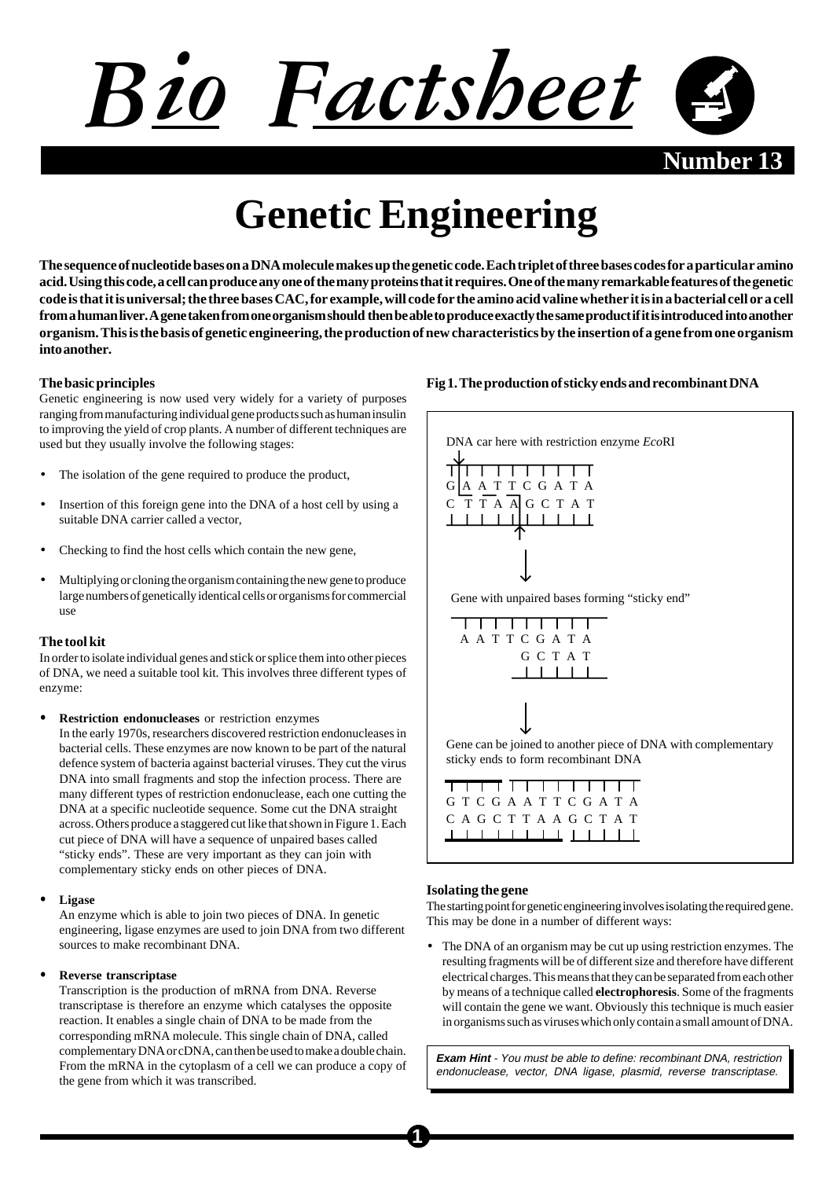

**Number** 

# **Genetic Engineering**

**The sequence of nucleotide bases on a DNA molecule makes up the genetic code. Each triplet of three bases codes for a particular amino acid. Using this code, a cell can produce any one of the many proteins that it requires. One of the many remarkable features of the genetic code is that it is universal; the three bases CAC, for example, will code for the amino acid valine whether it is in a bacterial cell or a cell from a human liver. A gene taken from one organism should then be able to produce exactly the same product if it is introduced into another organism. This is the basis of genetic engineering, the production of new characteristics by the insertion of a gene from one organism into another.**

## **The basic principles**

Genetic engineering is now used very widely for a variety of purposes ranging from manufacturing individual gene products such as human insulin to improving the yield of crop plants. A number of different techniques are used but they usually involve the following stages:

- The isolation of the gene required to produce the product,
- Insertion of this foreign gene into the DNA of a host cell by using a suitable DNA carrier called a vector,
- Checking to find the host cells which contain the new gene,
- Multiplying or cloning the organism containing the new gene to produce large numbers of genetically identical cells or organisms for commercial use

#### **The tool kit**

In order to isolate individual genes and stick or splice them into other pieces of DNA, we need a suitable tool kit. This involves three different types of enzyme:

• **Restriction endonucleases** or restriction enzymes In the early 1970s, researchers discovered restriction endonucleases in bacterial cells. These enzymes are now known to be part of the natural defence system of bacteria against bacterial viruses. They cut the virus DNA into small fragments and stop the infection process. There are many different types of restriction endonuclease, each one cutting the DNA at a specific nucleotide sequence. Some cut the DNA straight across. Others produce a staggered cut like that shown in Figure 1. Each cut piece of DNA will have a sequence of unpaired bases called "sticky ends". These are very important as they can join with complementary sticky ends on other pieces of DNA.

#### • **Ligase**

An enzyme which is able to join two pieces of DNA. In genetic engineering, ligase enzymes are used to join DNA from two different sources to make recombinant DNA.

#### • **Reverse transcriptase**

Transcription is the production of mRNA from DNA. Reverse transcriptase is therefore an enzyme which catalyses the opposite reaction. It enables a single chain of DNA to be made from the corresponding mRNA molecule. This single chain of DNA, called complementary DNA or cDNA, can then be used to make a double chain. From the mRNA in the cytoplasm of a cell we can produce a copy of the gene from which it was transcribed.

# **Fig 1. The production of sticky ends and recombinant DNA**



#### **Isolating the gene**

The starting point for genetic engineering involves isolating the required gene. This may be done in a number of different ways:

• The DNA of an organism may be cut up using restriction enzymes. The resulting fragments will be of different size and therefore have different electrical charges. This means that they can be separated from each other by means of a technique called **electrophoresis**. Some of the fragments will contain the gene we want. Obviously this technique is much easier in organisms such as viruses which only contain a small amount of DNA.

**Exam Hint** - You must be able to define: recombinant DNA, restriction endonuclease, vector, DNA ligase, plasmid, reverse transcriptase.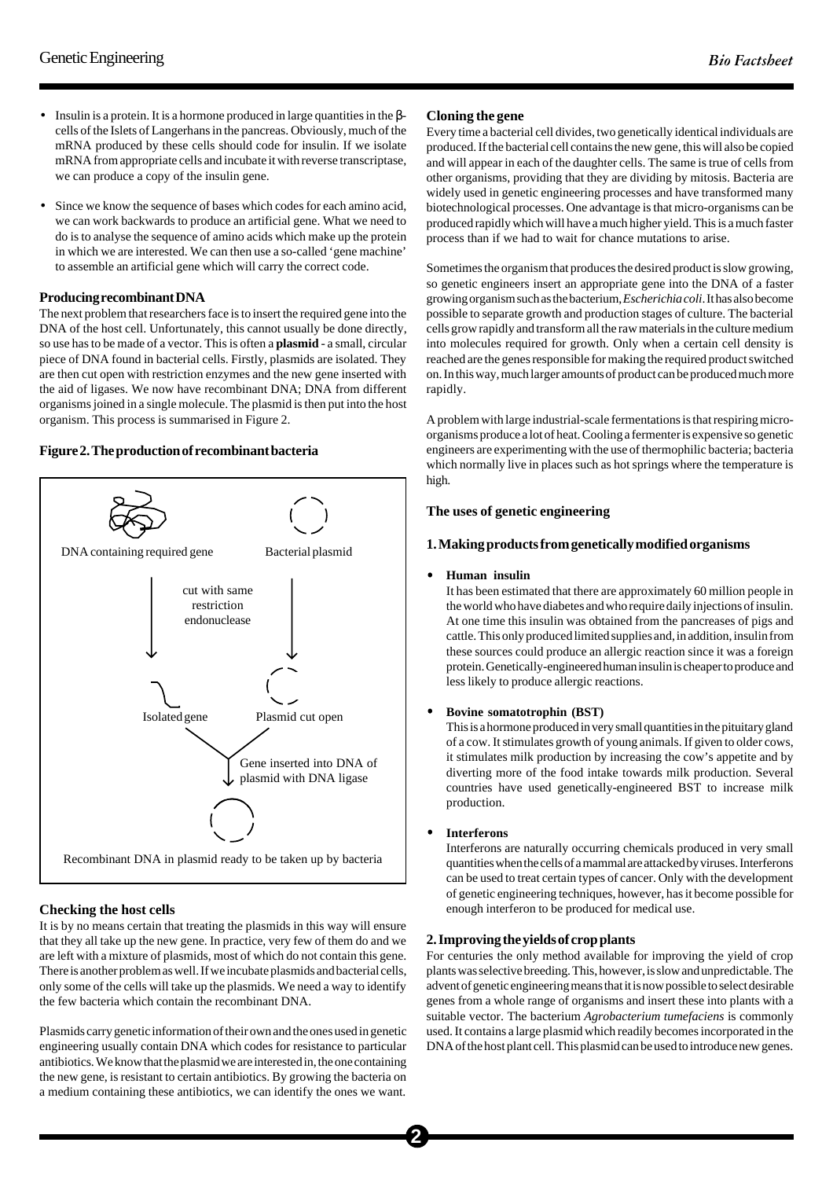- Insulin is a protein. It is a hormone produced in large quantities in the βcells of the Islets of Langerhans in the pancreas. Obviously, much of the mRNA produced by these cells should code for insulin. If we isolate mRNA from appropriate cells and incubate it with reverse transcriptase, we can produce a copy of the insulin gene.
- Since we know the sequence of bases which codes for each amino acid, we can work backwards to produce an artificial gene. What we need to do is to analyse the sequence of amino acids which make up the protein in which we are interested. We can then use a so-called 'gene machine' to assemble an artificial gene which will carry the correct code.

#### **Producing recombinant DNA**

The next problem that researchers face is to insert the required gene into the DNA of the host cell. Unfortunately, this cannot usually be done directly, so use has to be made of a vector. This is often a **plasmid** - a small, circular piece of DNA found in bacterial cells. Firstly, plasmids are isolated. They are then cut open with restriction enzymes and the new gene inserted with the aid of ligases. We now have recombinant DNA; DNA from different organisms joined in a single molecule. The plasmid is then put into the host organism. This process is summarised in Figure 2.

## **Figure 2. The production of recombinant bacteria**



# **Checking the host cells**

It is by no means certain that treating the plasmids in this way will ensure that they all take up the new gene. In practice, very few of them do and we are left with a mixture of plasmids, most of which do not contain this gene. There is another problem as well. If we incubate plasmids and bacterial cells, only some of the cells will take up the plasmids. We need a way to identify the few bacteria which contain the recombinant DNA.

Plasmids carry genetic information of their own and the ones used in genetic engineering usually contain DNA which codes for resistance to particular antibiotics. We know that the plasmid we are interested in, the one containing the new gene, is resistant to certain antibiotics. By growing the bacteria on a medium containing these antibiotics, we can identify the ones we want.

## **Cloning the gene**

Every time a bacterial cell divides, two genetically identical individuals are produced. If the bacterial cell contains the new gene, this will also be copied and will appear in each of the daughter cells. The same is true of cells from other organisms, providing that they are dividing by mitosis. Bacteria are widely used in genetic engineering processes and have transformed many biotechnological processes. One advantage is that micro-organisms can be produced rapidly which will have a much higher yield. This is a much faster process than if we had to wait for chance mutations to arise.

Sometimes the organism that produces the desired product is slow growing, so genetic engineers insert an appropriate gene into the DNA of a faster growing organism such as the bacterium, *Escherichia coli*. It has also become possible to separate growth and production stages of culture. The bacterial cells grow rapidly and transform all the raw materials in the culture medium into molecules required for growth. Only when a certain cell density is reached are the genes responsible for making the required product switched on. In this way, much larger amounts of product can be produced much more rapidly.

A problem with large industrial-scale fermentations is that respiring microorganisms produce a lot of heat. Cooling a fermenter is expensive so genetic engineers are experimenting with the use of thermophilic bacteria; bacteria which normally live in places such as hot springs where the temperature is high.

## **The uses of genetic engineering**

## **1. Making products from genetically modified organisms**

#### • **Human insulin**

It has been estimated that there are approximately 60 million people in the world who have diabetes and who require daily injections of insulin. At one time this insulin was obtained from the pancreases of pigs and cattle. This only produced limited supplies and, in addition, insulin from these sources could produce an allergic reaction since it was a foreign protein. Genetically-engineered human insulin is cheaper to produce and less likely to produce allergic reactions.

#### • **Bovine somatotrophin (BST)**

This is a hormone produced in very small quantities in the pituitary gland of a cow. It stimulates growth of young animals. If given to older cows, it stimulates milk production by increasing the cow's appetite and by diverting more of the food intake towards milk production. Several countries have used genetically-engineered BST to increase milk production.

• **Interferons**

Interferons are naturally occurring chemicals produced in very small quantities when the cells of a mammal are attacked by viruses. Interferons can be used to treat certain types of cancer. Only with the development of genetic engineering techniques, however, has it become possible for enough interferon to be produced for medical use.

# **2. Improving the yields of crop plants**

For centuries the only method available for improving the yield of crop plants was selective breeding. This, however, is slow and unpredictable. The advent of genetic engineering means that it is now possible to select desirable genes from a whole range of organisms and insert these into plants with a suitable vector. The bacterium *Agrobacterium tumefaciens* is commonly used. It contains a large plasmid which readily becomes incorporated in the DNA of the host plant cell. This plasmid can be used to introduce new genes.